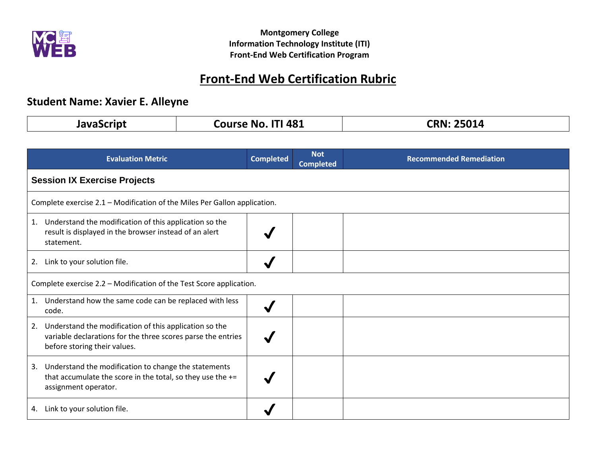

# **Front-End Web Certification Rubric**

## **Student Name: Xavier E. Alleyne**

| InvaCrrint | <b>ITI 481</b><br>Course<br>No. | 2FAA<br><b>25014</b> |
|------------|---------------------------------|----------------------|
|            |                                 |                      |

|                                                                     | <b>Evaluation Metric</b>                                                                                                                               | <b>Completed</b> | <b>Not</b><br><b>Completed</b> | <b>Recommended Remediation</b> |
|---------------------------------------------------------------------|--------------------------------------------------------------------------------------------------------------------------------------------------------|------------------|--------------------------------|--------------------------------|
|                                                                     | <b>Session IX Exercise Projects</b>                                                                                                                    |                  |                                |                                |
|                                                                     | Complete exercise 2.1 - Modification of the Miles Per Gallon application.                                                                              |                  |                                |                                |
| 1.                                                                  | Understand the modification of this application so the<br>result is displayed in the browser instead of an alert<br>statement.                         |                  |                                |                                |
|                                                                     | 2. Link to your solution file.                                                                                                                         |                  |                                |                                |
| Complete exercise 2.2 – Modification of the Test Score application. |                                                                                                                                                        |                  |                                |                                |
| 1.                                                                  | Understand how the same code can be replaced with less<br>code.                                                                                        |                  |                                |                                |
| 2.                                                                  | Understand the modification of this application so the<br>variable declarations for the three scores parse the entries<br>before storing their values. |                  |                                |                                |
| 3.                                                                  | Understand the modification to change the statements<br>that accumulate the score in the total, so they use the +=<br>assignment operator.             |                  |                                |                                |
| 4.                                                                  | Link to your solution file.                                                                                                                            |                  |                                |                                |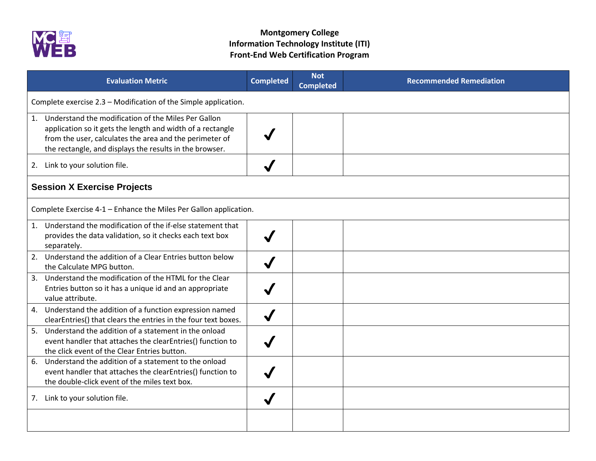

| <b>Evaluation Metric</b>                                                                                                                                                                                                                   | <b>Completed</b> | <b>Not</b><br><b>Completed</b> | <b>Recommended Remediation</b> |  |
|--------------------------------------------------------------------------------------------------------------------------------------------------------------------------------------------------------------------------------------------|------------------|--------------------------------|--------------------------------|--|
| Complete exercise 2.3 - Modification of the Simple application.                                                                                                                                                                            |                  |                                |                                |  |
| 1. Understand the modification of the Miles Per Gallon<br>application so it gets the length and width of a rectangle<br>from the user, calculates the area and the perimeter of<br>the rectangle, and displays the results in the browser. |                  |                                |                                |  |
| 2. Link to your solution file.                                                                                                                                                                                                             |                  |                                |                                |  |
| <b>Session X Exercise Projects</b>                                                                                                                                                                                                         |                  |                                |                                |  |
| Complete Exercise 4-1 - Enhance the Miles Per Gallon application.                                                                                                                                                                          |                  |                                |                                |  |
| 1. Understand the modification of the if-else statement that<br>provides the data validation, so it checks each text box<br>separately.                                                                                                    |                  |                                |                                |  |
| 2. Understand the addition of a Clear Entries button below<br>the Calculate MPG button.                                                                                                                                                    |                  |                                |                                |  |
| 3. Understand the modification of the HTML for the Clear<br>Entries button so it has a unique id and an appropriate<br>value attribute.                                                                                                    |                  |                                |                                |  |
| 4. Understand the addition of a function expression named<br>clearEntries() that clears the entries in the four text boxes.                                                                                                                |                  |                                |                                |  |
| 5. Understand the addition of a statement in the onload<br>event handler that attaches the clearEntries() function to<br>the click event of the Clear Entries button.                                                                      |                  |                                |                                |  |
| Understand the addition of a statement to the onload<br>6.<br>event handler that attaches the clearEntries() function to<br>the double-click event of the miles text box.                                                                  |                  |                                |                                |  |
| 7. Link to your solution file.                                                                                                                                                                                                             |                  |                                |                                |  |
|                                                                                                                                                                                                                                            |                  |                                |                                |  |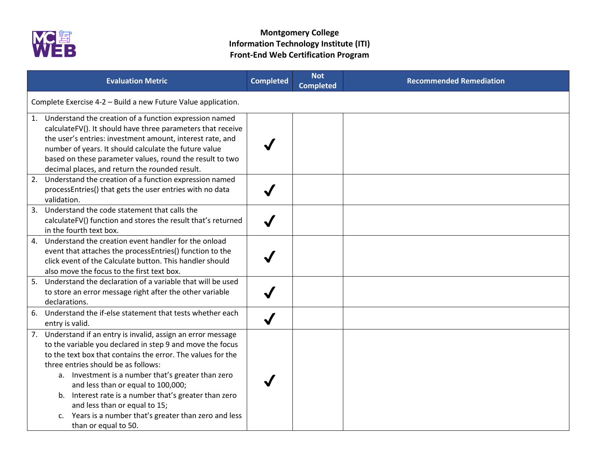

|    | <b>Evaluation Metric</b>                                                                                                                                                                                                                                                                                                                                                                                                                                                                                 | <b>Completed</b>     | <b>Not</b><br><b>Completed</b> | <b>Recommended Remediation</b> |  |
|----|----------------------------------------------------------------------------------------------------------------------------------------------------------------------------------------------------------------------------------------------------------------------------------------------------------------------------------------------------------------------------------------------------------------------------------------------------------------------------------------------------------|----------------------|--------------------------------|--------------------------------|--|
|    | Complete Exercise 4-2 - Build a new Future Value application.                                                                                                                                                                                                                                                                                                                                                                                                                                            |                      |                                |                                |  |
|    | 1. Understand the creation of a function expression named<br>calculateFV(). It should have three parameters that receive<br>the user's entries: investment amount, interest rate, and<br>number of years. It should calculate the future value<br>based on these parameter values, round the result to two<br>decimal places, and return the rounded result.                                                                                                                                             |                      |                                |                                |  |
| 2. | Understand the creation of a function expression named<br>processEntries() that gets the user entries with no data<br>validation.                                                                                                                                                                                                                                                                                                                                                                        |                      |                                |                                |  |
| 3. | Understand the code statement that calls the<br>calculateFV() function and stores the result that's returned<br>in the fourth text box.                                                                                                                                                                                                                                                                                                                                                                  |                      |                                |                                |  |
| 4. | Understand the creation event handler for the onload<br>event that attaches the processEntries() function to the<br>click event of the Calculate button. This handler should<br>also move the focus to the first text box.                                                                                                                                                                                                                                                                               |                      |                                |                                |  |
|    | 5. Understand the declaration of a variable that will be used<br>to store an error message right after the other variable<br>declarations.                                                                                                                                                                                                                                                                                                                                                               |                      |                                |                                |  |
| 6. | Understand the if-else statement that tests whether each<br>entry is valid.                                                                                                                                                                                                                                                                                                                                                                                                                              | $\blacktriangledown$ |                                |                                |  |
|    | 7. Understand if an entry is invalid, assign an error message<br>to the variable you declared in step 9 and move the focus<br>to the text box that contains the error. The values for the<br>three entries should be as follows:<br>a. Investment is a number that's greater than zero<br>and less than or equal to 100,000;<br>b. Interest rate is a number that's greater than zero<br>and less than or equal to 15;<br>c. Years is a number that's greater than zero and less<br>than or equal to 50. |                      |                                |                                |  |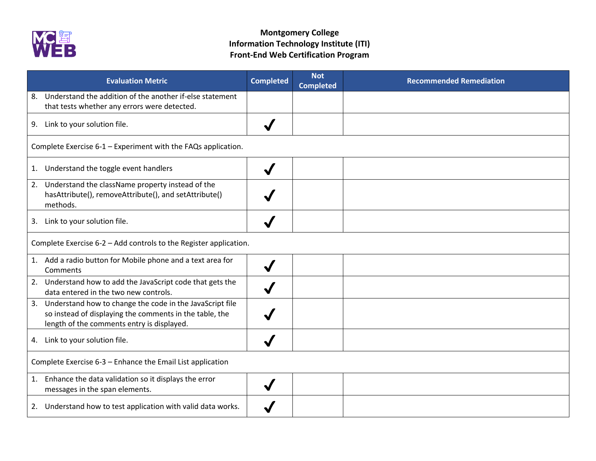

| <b>Evaluation Metric</b>                                                                                                                                             | <b>Completed</b> | <b>Not</b><br><b>Completed</b> | <b>Recommended Remediation</b> |  |
|----------------------------------------------------------------------------------------------------------------------------------------------------------------------|------------------|--------------------------------|--------------------------------|--|
| Understand the addition of the another if-else statement<br>8.<br>that tests whether any errors were detected.                                                       |                  |                                |                                |  |
| 9. Link to your solution file.                                                                                                                                       |                  |                                |                                |  |
| Complete Exercise 6-1 - Experiment with the FAQs application.                                                                                                        |                  |                                |                                |  |
| 1. Understand the toggle event handlers                                                                                                                              |                  |                                |                                |  |
| 2. Understand the className property instead of the<br>hasAttribute(), removeAttribute(), and setAttribute()<br>methods.                                             |                  |                                |                                |  |
| 3. Link to your solution file.                                                                                                                                       |                  |                                |                                |  |
| Complete Exercise 6-2 - Add controls to the Register application.                                                                                                    |                  |                                |                                |  |
| 1. Add a radio button for Mobile phone and a text area for<br>Comments                                                                                               |                  |                                |                                |  |
| 2. Understand how to add the JavaScript code that gets the<br>data entered in the two new controls.                                                                  |                  |                                |                                |  |
| 3. Understand how to change the code in the JavaScript file<br>so instead of displaying the comments in the table, the<br>length of the comments entry is displayed. |                  |                                |                                |  |
| 4. Link to your solution file.                                                                                                                                       |                  |                                |                                |  |
| Complete Exercise 6-3 - Enhance the Email List application                                                                                                           |                  |                                |                                |  |
| 1. Enhance the data validation so it displays the error<br>messages in the span elements.                                                                            |                  |                                |                                |  |
| 2. Understand how to test application with valid data works.                                                                                                         |                  |                                |                                |  |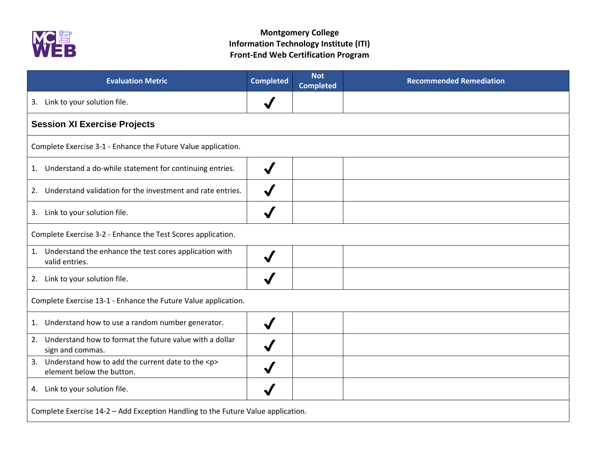

| <b>Evaluation Metric</b>                                                               | <b>Completed</b> | <b>Not</b><br><b>Completed</b> | <b>Recommended Remediation</b> |
|----------------------------------------------------------------------------------------|------------------|--------------------------------|--------------------------------|
| Link to your solution file.<br>3.                                                      |                  |                                |                                |
| <b>Session XI Exercise Projects</b>                                                    |                  |                                |                                |
| Complete Exercise 3-1 - Enhance the Future Value application.                          |                  |                                |                                |
| 1. Understand a do-while statement for continuing entries.                             |                  |                                |                                |
| Understand validation for the investment and rate entries.<br>2.                       |                  |                                |                                |
| 3. Link to your solution file.                                                         |                  |                                |                                |
| Complete Exercise 3-2 - Enhance the Test Scores application.                           |                  |                                |                                |
| 1. Understand the enhance the test cores application with<br>valid entries.            |                  |                                |                                |
| 2. Link to your solution file.                                                         |                  |                                |                                |
| Complete Exercise 13-1 - Enhance the Future Value application.                         |                  |                                |                                |
| Understand how to use a random number generator.<br>1.                                 |                  |                                |                                |
| Understand how to format the future value with a dollar<br>2.<br>sign and commas.      |                  |                                |                                |
| 3. Understand how to add the current date to the <p><br/>element below the button.</p> |                  |                                |                                |
| 4. Link to your solution file.                                                         |                  |                                |                                |
| Complete Exercise 14-2 - Add Exception Handling to the Future Value application.       |                  |                                |                                |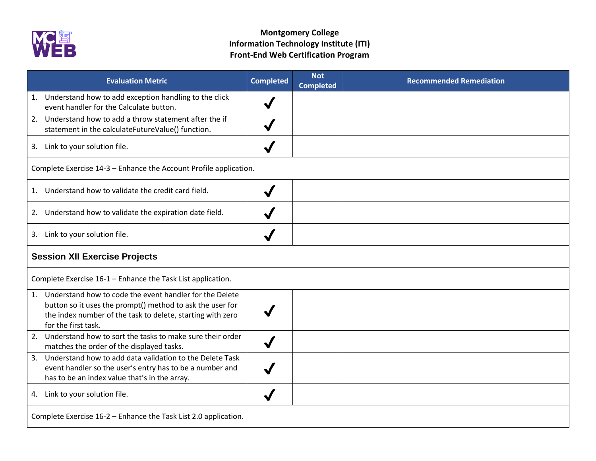

|                                                                 | <b>Evaluation Metric</b>                                                                                                                                                                                     | <b>Completed</b> | <b>Not</b><br><b>Completed</b> | <b>Recommended Remediation</b> |  |
|-----------------------------------------------------------------|--------------------------------------------------------------------------------------------------------------------------------------------------------------------------------------------------------------|------------------|--------------------------------|--------------------------------|--|
|                                                                 | 1. Understand how to add exception handling to the click<br>event handler for the Calculate button.                                                                                                          |                  |                                |                                |  |
|                                                                 | 2. Understand how to add a throw statement after the if<br>statement in the calculateFutureValue() function.                                                                                                 |                  |                                |                                |  |
|                                                                 | 3. Link to your solution file.                                                                                                                                                                               |                  |                                |                                |  |
|                                                                 | Complete Exercise 14-3 - Enhance the Account Profile application.                                                                                                                                            |                  |                                |                                |  |
|                                                                 | 1. Understand how to validate the credit card field.                                                                                                                                                         |                  |                                |                                |  |
|                                                                 | 2. Understand how to validate the expiration date field.                                                                                                                                                     |                  |                                |                                |  |
|                                                                 | 3. Link to your solution file.                                                                                                                                                                               |                  |                                |                                |  |
| <b>Session XII Exercise Projects</b>                            |                                                                                                                                                                                                              |                  |                                |                                |  |
|                                                                 | Complete Exercise 16-1 - Enhance the Task List application.                                                                                                                                                  |                  |                                |                                |  |
|                                                                 | 1. Understand how to code the event handler for the Delete<br>button so it uses the prompt() method to ask the user for<br>the index number of the task to delete, starting with zero<br>for the first task. |                  |                                |                                |  |
|                                                                 | 2. Understand how to sort the tasks to make sure their order<br>matches the order of the displayed tasks.                                                                                                    | $\checkmark$     |                                |                                |  |
| 3.                                                              | Understand how to add data validation to the Delete Task<br>event handler so the user's entry has to be a number and<br>has to be an index value that's in the array.                                        |                  |                                |                                |  |
|                                                                 | 4. Link to your solution file.                                                                                                                                                                               |                  |                                |                                |  |
| Complete Exercise 16-2 - Enhance the Task List 2.0 application. |                                                                                                                                                                                                              |                  |                                |                                |  |